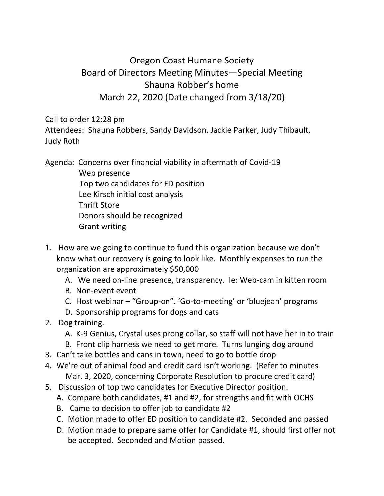## Oregon Coast Humane Society Board of Directors Meeting Minutes—Special Meeting Shauna Robber's home March 22, 2020 (Date changed from 3/18/20)

Call to order 12:28 pm

Attendees: Shauna Robbers, Sandy Davidson. Jackie Parker, Judy Thibault, Judy Roth

Agenda: Concerns over financial viability in aftermath of Covid-19

 Web presence Top two candidates for ED position Lee Kirsch initial cost analysis Thrift Store Donors should be recognized Grant writing

- 1. How are we going to continue to fund this organization because we don't know what our recovery is going to look like. Monthly expenses to run the organization are approximately \$50,000
	- A. We need on-line presence, transparency. Ie: Web-cam in kitten room
	- B. Non-event event
	- C. Host webinar "Group-on". 'Go-to-meeting' or 'bluejean' programs
	- D. Sponsorship programs for dogs and cats
- 2. Dog training.
	- A. K-9 Genius, Crystal uses prong collar, so staff will not have her in to train
	- B. Front clip harness we need to get more. Turns lunging dog around
- 3. Can't take bottles and cans in town, need to go to bottle drop
- 4. We're out of animal food and credit card isn't working. (Refer to minutes Mar. 3, 2020, concerning Corporate Resolution to procure credit card)
- 5. Discussion of top two candidates for Executive Director position.
	- A. Compare both candidates, #1 and #2, for strengths and fit with OCHS
	- B. Came to decision to offer job to candidate #2
	- C. Motion made to offer ED position to candidate #2. Seconded and passed
	- D. Motion made to prepare same offer for Candidate #1, should first offer not be accepted. Seconded and Motion passed.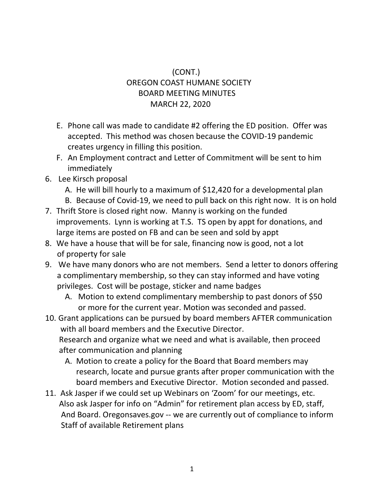## (CONT.) OREGON COAST HUMANE SOCIETY BOARD MEETING MINUTES MARCH 22, 2020

- E. Phone call was made to candidate #2 offering the ED position. Offer was accepted. This method was chosen because the COVID-19 pandemic creates urgency in filling this position.
- F. An Employment contract and Letter of Commitment will be sent to him immediately
- 6. Lee Kirsch proposal
	- A. He will bill hourly to a maximum of \$12,420 for a developmental plan
	- B. Because of Covid-19, we need to pull back on this right now. It is on hold
- 7. Thrift Store is closed right now. Manny is working on the funded improvements. Lynn is working at T.S. TS open by appt for donations, and large items are posted on FB and can be seen and sold by appt
- 8. We have a house that will be for sale, financing now is good, not a lot of property for sale
- 9. We have many donors who are not members. Send a letter to donors offering a complimentary membership, so they can stay informed and have voting privileges. Cost will be postage, sticker and name badges
	- A. Motion to extend complimentary membership to past donors of \$50 or more for the current year. Motion was seconded and passed.
- 10. Grant applications can be pursued by board members AFTER communication with all board members and the Executive Director. Research and organize what we need and what is available, then proceed after communication and planning
	- A. Motion to create a policy for the Board that Board members may research, locate and pursue grants after proper communication with the board members and Executive Director. Motion seconded and passed.
- 11. Ask Jasper if we could set up Webinars on 'Zoom' for our meetings, etc. Also ask Jasper for info on "Admin" for retirement plan access by ED, staff, And Board. Oregonsaves.gov -- we are currently out of compliance to inform Staff of available Retirement plans